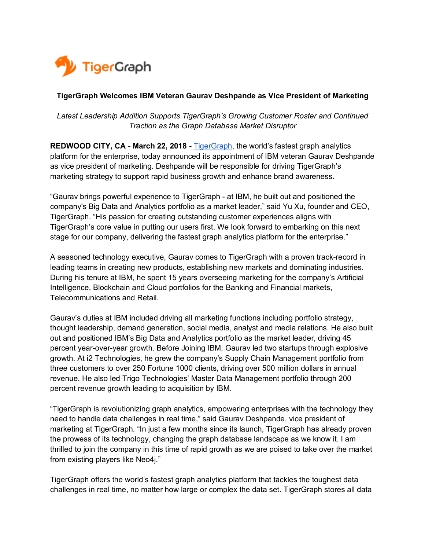

## **TigerGraph Welcomes IBM Veteran Gaurav Deshpande as Vice President of Marketing**

*Latest Leadership Addition Supports TigerGraph's Growing Customer Roster and Continued Traction as the Graph Database Market Disruptor*

**REDWOOD CITY, CA - March 22, 2018 -** TigerGraph, the world's fastest graph analytics platform for the enterprise, today announced its appointment of IBM veteran Gaurav Deshpande as vice president of marketing. Deshpande will be responsible for driving TigerGraph's marketing strategy to support rapid business growth and enhance brand awareness.

"Gaurav brings powerful experience to TigerGraph - at IBM, he built out and positioned the company's Big Data and Analytics portfolio as a market leader," said Yu Xu, founder and CEO, TigerGraph. "His passion for creating outstanding customer experiences aligns with TigerGraph's core value in putting our users first. We look forward to embarking on this next stage for our company, delivering the fastest graph analytics platform for the enterprise."

A seasoned technology executive, Gaurav comes to TigerGraph with a proven track-record in leading teams in creating new products, establishing new markets and dominating industries. During his tenure at IBM, he spent 15 years overseeing marketing for the company's Artificial Intelligence, Blockchain and Cloud portfolios for the Banking and Financial markets, Telecommunications and Retail.

Gaurav's duties at IBM included driving all marketing functions including portfolio strategy, thought leadership, demand generation, social media, analyst and media relations. He also built out and positioned IBM's Big Data and Analytics portfolio as the market leader, driving 45 percent year-over-year growth. Before Joining IBM, Gaurav led two startups through explosive growth. At i2 Technologies, he grew the company's Supply Chain Management portfolio from three customers to over 250 Fortune 1000 clients, driving over 500 million dollars in annual revenue. He also led Trigo Technologies' Master Data Management portfolio through 200 percent revenue growth leading to acquisition by IBM.

"TigerGraph is revolutionizing graph analytics, empowering enterprises with the technology they need to handle data challenges in real time," said Gaurav Deshpande, vice president of marketing at TigerGraph. "In just a few months since its launch, TigerGraph has already proven the prowess of its technology, changing the graph database landscape as we know it. I am thrilled to join the company in this time of rapid growth as we are poised to take over the market from existing players like Neo4j."

TigerGraph offers the world's fastest graph analytics platform that tackles the toughest data challenges in real time, no matter how large or complex the data set. TigerGraph stores all data